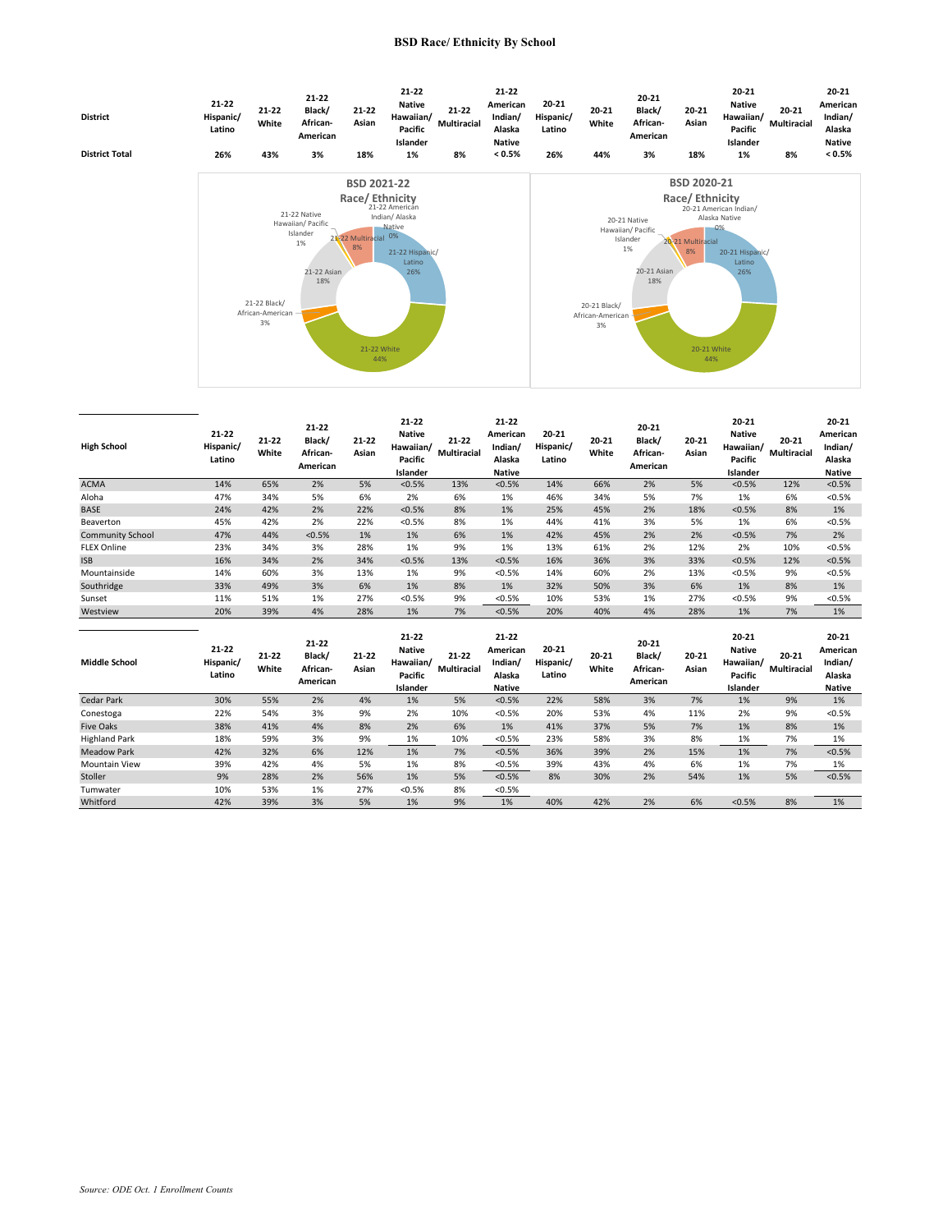## **BSD Race/ Ethnicity By School**



| <b>High School</b>      | $21 - 22$<br>Hispanic/<br>Latino | $21 - 22$<br>White | $21 - 22$<br>Black/<br>African-<br>American | $21 - 22$<br>Asian | $21 - 22$<br><b>Native</b><br>Hawaiian/<br>Pacific<br>Islander | $21 - 22$<br>Multiracial        | 21-22<br>American<br>Indian/<br>Alaska<br><b>Native</b> | $20 - 21$<br>Hispanic/<br>Latino | $20 - 21$<br>White | $20 - 21$<br>Black/<br>African-<br>American | $20 - 21$<br>Asian | $20 - 21$<br><b>Native</b><br>Hawaiian/<br>Pacific<br>Islander | $20 - 21$<br>Multiracial        | 20-21<br>American<br>Indian/<br>Alaska<br><b>Native</b>     |
|-------------------------|----------------------------------|--------------------|---------------------------------------------|--------------------|----------------------------------------------------------------|---------------------------------|---------------------------------------------------------|----------------------------------|--------------------|---------------------------------------------|--------------------|----------------------------------------------------------------|---------------------------------|-------------------------------------------------------------|
| <b>ACMA</b>             | 14%                              | 65%                | 2%                                          | 5%                 | < 0.5%                                                         | 13%                             | < 0.5%                                                  | 14%                              | 66%                | 2%                                          | 5%                 | < 0.5%                                                         | 12%                             | < 0.5%                                                      |
| Aloha                   | 47%                              | 34%                | 5%                                          | 6%                 | 2%                                                             | 6%                              | 1%                                                      | 46%                              | 34%                | 5%                                          | 7%                 | 1%                                                             | 6%                              | < 0.5%                                                      |
| <b>BASE</b>             | 24%                              | 42%                | 2%                                          | 22%                | < 0.5%                                                         | 8%                              | 1%                                                      | 25%                              | 45%                | 2%                                          | 18%                | < 0.5%                                                         | 8%                              | 1%                                                          |
| Beaverton               | 45%                              | 42%                | 2%                                          | 22%                | < 0.5%                                                         | 8%                              | 1%                                                      | 44%                              | 41%                | 3%                                          | 5%                 | 1%                                                             | 6%                              | < 0.5%                                                      |
| <b>Community School</b> | 47%                              | 44%                | < 0.5%                                      | 1%                 | 1%                                                             | 6%                              | 1%                                                      | 42%                              | 45%                | 2%                                          | 2%                 | < 0.5%                                                         | 7%                              | 2%                                                          |
| <b>FLEX Online</b>      | 23%                              | 34%                | 3%                                          | 28%                | 1%                                                             | 9%                              | 1%                                                      | 13%                              | 61%                | 2%                                          | 12%                | 2%                                                             | 10%                             | < 0.5%                                                      |
| <b>ISB</b>              | 16%                              | 34%                | 2%                                          | 34%                | < 0.5%                                                         | 13%                             | < 0.5%                                                  | 16%                              | 36%                | 3%                                          | 33%                | < 0.5%                                                         | 12%                             | < 0.5%                                                      |
| Mountainside            | 14%                              | 60%                | 3%                                          | 13%                | 1%                                                             | 9%                              | < 0.5%                                                  | 14%                              | 60%                | 2%                                          | 13%                | < 0.5%                                                         | 9%                              | < 0.5%                                                      |
| Southridge              | 33%                              | 49%                | 3%                                          | 6%                 | 1%                                                             | 8%                              | 1%                                                      | 32%                              | 50%                | 3%                                          | 6%                 | 1%                                                             | 8%                              | 1%                                                          |
| Sunset                  | 11%                              | 51%                | 1%                                          | 27%                | < 0.5%                                                         | 9%                              | < 0.5%                                                  | 10%                              | 53%                | 1%                                          | 27%                | < 0.5%                                                         | 9%                              | < 0.5%                                                      |
| Westview                | 20%                              | 39%                | 4%                                          | 28%                | 1%                                                             | 7%                              | < 0.5%                                                  | 20%                              | 40%                | 4%                                          | 28%                | 1%                                                             | 7%                              | 1%                                                          |
| <b>Middle School</b>    | $21 - 22$<br>Hispanic/<br>Latino | $21 - 22$<br>White | 21-22<br>Black/<br>African-<br>American     | $21 - 22$<br>Asian | 21-22<br><b>Native</b><br>Hawaiian/<br>Pacific<br>Islander     | $21 - 22$<br><b>Multiracial</b> | 21-22<br>American<br>Indian/<br>Alaska<br><b>Native</b> | $20 - 21$<br>Hispanic/<br>Latino | $20 - 21$<br>White | $20 - 21$<br>Black/<br>African-<br>American | $20 - 21$<br>Asian | 20-21<br><b>Native</b><br>Hawaiian/<br>Pacific<br>Islander     | $20 - 21$<br><b>Multiracial</b> | $20 - 21$<br>American<br>Indian/<br>Alaska<br><b>Native</b> |
| <b>Cedar Park</b>       | 30%                              | 55%                | 2%                                          | 4%                 | 1%                                                             | 5%                              | < 0.5%                                                  | 22%                              | 58%                | 3%                                          | 7%                 | 1%                                                             | 9%                              | 1%                                                          |
| Conestoga               | 22%                              | 54%                | 3%                                          | 9%                 | 2%                                                             | 10%                             | < 0.5%                                                  | 20%                              | 53%                | 4%                                          | 11%                | 2%                                                             | 9%                              | < 0.5%                                                      |
| <b>Five Oaks</b>        | 38%                              | 41%                | 4%                                          | 8%                 | 2%                                                             | 6%                              | 1%                                                      | 41%                              | 37%                | 5%                                          | 7%                 | 1%                                                             | 8%                              | 1%                                                          |
| <b>Highland Park</b>    | 18%                              | 59%                | 3%                                          | 9%                 | 1%                                                             | 10%                             | < 0.5%                                                  | 23%                              | 58%                | 3%                                          | 8%                 | 1%                                                             | 7%                              | 1%                                                          |
| <b>Meadow Park</b>      | 42%                              | 32%                | 6%                                          | 12%                | 1%                                                             | 7%                              | < 0.5%                                                  | 36%                              | 39%                | 2%                                          | 15%                | 1%                                                             | 7%                              | < 0.5%                                                      |
| <b>Mountain View</b>    | 39%                              | 42%                | 4%                                          | 5%                 | 1%                                                             | 8%                              | < 0.5%                                                  | 39%                              | 43%                | 4%                                          | 6%                 | 1%                                                             | 7%                              | 1%                                                          |
| Stoller                 | 9%                               | 28%                | 2%                                          | 56%                | 1%                                                             | 5%                              | < 0.5%                                                  | 8%                               | 30%                | 2%                                          | 54%                | 1%                                                             | 5%                              | < 0.5%                                                      |
| Tumwater                | 10%                              | 53%                | 1%                                          | 27%                | < 0.5%                                                         | 8%                              | < 0.5%                                                  |                                  |                    |                                             |                    |                                                                |                                 |                                                             |
| Whitford                | 42%                              | 39%                | 3%                                          | 5%                 | 1%                                                             | 9%                              | 1%                                                      | 40%                              | 42%                | 2%                                          | 6%                 | < 0.5%                                                         | 8%                              | 1%                                                          |